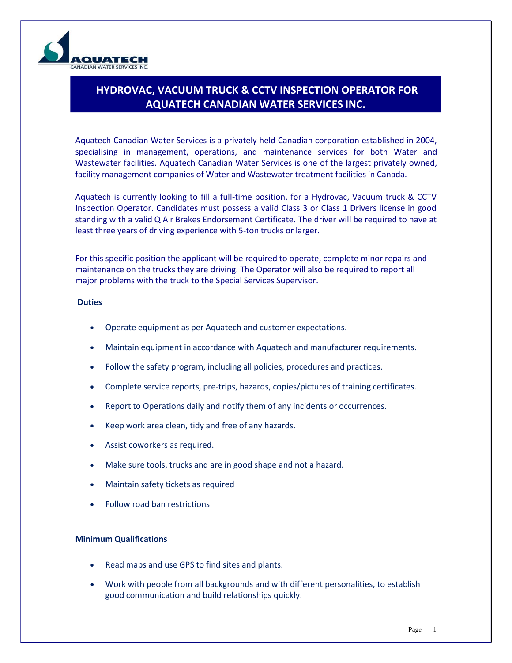

## **HYDROVAC, VACUUM TRUCK & CCTV INSPECTION OPERATOR FOR AQUATECH CANADIAN WATER SERVICES INC.**

Aquatech Canadian Water Services is a privately held Canadian corporation established in 2004, specialising in management, operations, and maintenance services for both Water and Wastewater facilities. Aquatech Canadian Water Services is one of the largest privately owned, facility management companies of Water and Wastewater treatment facilities in Canada.

Aquatech is currently looking to fill a full-time position, for a Hydrovac, Vacuum truck & CCTV Inspection Operator. Candidates must possess a valid Class 3 or Class 1 Drivers license in good standing with a valid Q Air Brakes Endorsement Certificate. The driver will be required to have at least three years of driving experience with 5-ton trucks or larger.

For this specific position the applicant will be required to operate, complete minor repairs and maintenance on the trucks they are driving. The Operator will also be required to report all major problems with the truck to the Special Services Supervisor.

## **Duties**

- Operate equipment as per Aquatech and customer expectations.
- Maintain equipment in accordance with Aquatech and manufacturer requirements.
- Follow the safety program, including all policies, procedures and practices.
- Complete service reports, pre-trips, hazards, copies/pictures of training certificates.
- Report to Operations daily and notify them of any incidents or occurrences.
- Keep work area clean, tidy and free of any hazards.
- Assist coworkers as required.
- Make sure tools, trucks and are in good shape and not a hazard.
- Maintain safety tickets as required
- Follow road ban restrictions

## **Minimum Qualifications**

- Read maps and use GPS to find sites and plants.
- Work with people from all backgrounds and with different personalities, to establish good communication and build relationships quickly.